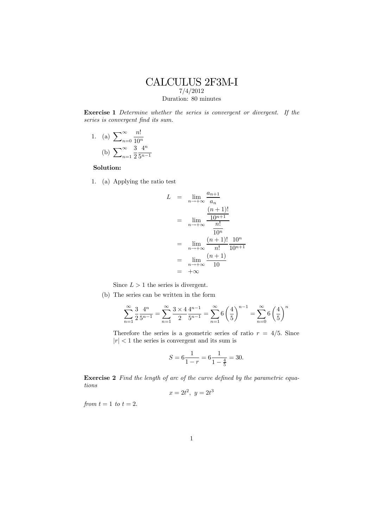## CALCULUS 2F3M-I 7/4/2012 Duration: 80 minutes

Exercise 1 Determine whether the series is convergent or divergent. If the series is convergent find its sum.

1. (a)  $\sum_{n=0}^{\infty}$ n!  $10^n$ (b)  $\sum_{n=1}^{\infty}$ 3 2  $4^n$  $5^{n-1}$ 

## Solution:

1. (a) Applying the ratio test

$$
L = \lim_{n \to +\infty} \frac{a_{n+1}}{a_n}
$$
  
= 
$$
\lim_{n \to +\infty} \frac{\frac{(n+1)!}{10^{n+1}}}{\frac{n!}{10^n}}
$$
  
= 
$$
\lim_{n \to +\infty} \frac{(n+1)!}{n!} \frac{10^n}{10^{n+1}}
$$
  
= 
$$
\lim_{n \to +\infty} \frac{(n+1)}{10}
$$
  
= 
$$
+\infty
$$

Since  $L > 1$  the series is divergent.

(b) The series can be written in the form

$$
\sum_{n=1}^{\infty} \frac{3}{2} \frac{4^n}{5^{n-1}} = \sum_{n=1}^{\infty} \frac{3 \times 4}{2} \frac{4^{n-1}}{5^{n-1}} = \sum_{n=1}^{\infty} 6 \left(\frac{4}{5}\right)^{n-1} = \sum_{n=0}^{\infty} 6 \left(\frac{4}{5}\right)^n
$$

Therefore the series is a geometric series of ratio  $r = 4/5$ . Since  $|r| < 1$  the series is convergent and its sum is

$$
S = 6\frac{1}{1-r} = 6\frac{1}{1-\frac{4}{5}} = 30.
$$

Exercise 2 Find the length of arc of the curve defined by the parametric equations

$$
x = 2t^2, \ y = 2t^3
$$

from  $t = 1$  to  $t = 2$ .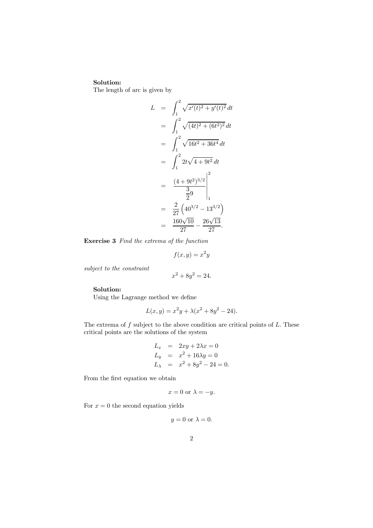## Solution:

The length of arc is given by

$$
L = \int_{1}^{2} \sqrt{x'(t)^{2} + y'(t)^{2}} dt
$$
  
\n
$$
= \int_{1}^{2} \sqrt{(4t)^{2} + (6t^{2})^{2}} dt
$$
  
\n
$$
= \int_{1}^{2} \sqrt{16t^{2} + 36t^{4}} dt
$$
  
\n
$$
= \int_{1}^{2} 2t \sqrt{4 + 9t^{2}} dt
$$
  
\n
$$
= \left. \frac{(4 + 9t^{2})^{3/2}}{3} \right|_{1}^{2}
$$
  
\n
$$
= \left. \frac{2}{27} \left( 40^{3/2} - 13^{3/2} \right) \right
$$
  
\n
$$
= \frac{160\sqrt{10}}{27} - \frac{26\sqrt{13}}{27}.
$$

Exercise 3 Find the extrema of the function

$$
f(x,y) = x^2y
$$

subject to the constraint

 $x^2 + 8y^2 = 24.$ 

## Solution:

Using the Lagrange method we define

$$
L(x, y) = x^2y + \lambda(x^2 + 8y^2 - 24).
$$

The extrema of  $f$  subject to the above condition are critical points of  $L$ . These critical points are the solutions of the system

$$
L_x = 2xy + 2\lambda x = 0
$$
  
\n
$$
L_y = x^2 + 16\lambda y = 0
$$
  
\n
$$
L_\lambda = x^2 + 8y^2 - 24 = 0.
$$

From the first equation we obtain

$$
x = 0 \text{ or } \lambda = -y.
$$

For  $x = 0$  the second equation yields

$$
y = 0 \text{ or } \lambda = 0.
$$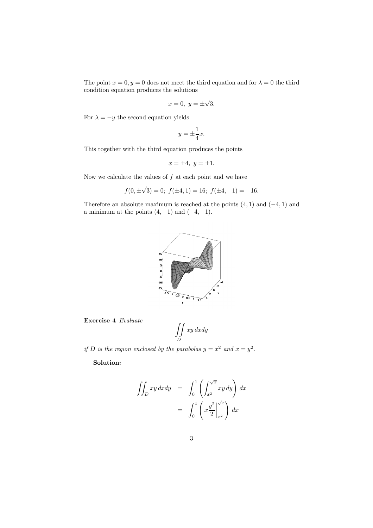The point  $x = 0, y = 0$  does not meet the third equation and for  $\lambda = 0$  the third condition equation produces the solutions

$$
x = 0, \ y = \pm \sqrt{3}.
$$

For  $\lambda = -y$  the second equation yields

$$
y = \pm \frac{1}{4}x.
$$

This together with the third equation produces the points

$$
x = \pm 4, \ y = \pm 1.
$$

Now we calculate the values of  $f$  at each point and we have

$$
f(0, \pm\sqrt{3}) = 0
$$
;  $f(\pm 4, 1) = 16$ ;  $f(\pm 4, -1) = -16$ .

Therefore an absolute maximum is reached at the points  $(4, 1)$  and  $(-4, 1)$  and a minimum at the points  $(4, -1)$  and  $(-4, -1)$ .



Exercise 4 Evaluate

$$
\iint\limits_{D} xy \, dxdy
$$

if D is the region enclosed by the parabolas  $y = x^2$  and  $x = y^2$ .

Solution:

$$
\iint_D xy \, dxdy = \int_0^1 \left( \int_{x^2}^{\sqrt{x}} xy \, dy \right) dx
$$

$$
= \int_0^1 \left( x \frac{y^2}{2} \Big|_{x^2}^{\sqrt{x}} \right) dx
$$